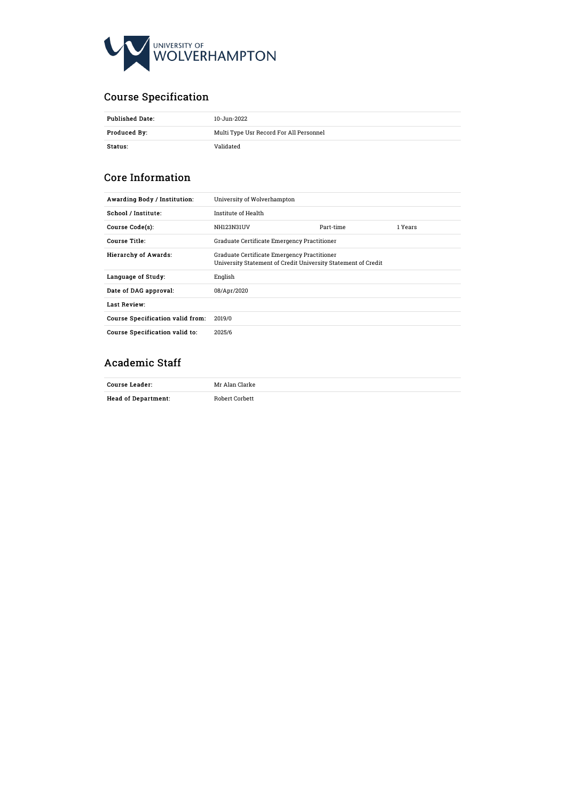

# Course Specification

| <b>Published Date:</b><br>10-Jun-2022 |                                         |
|---------------------------------------|-----------------------------------------|
| Produced By:                          | Multi Type Usr Record For All Personnel |
| Status:                               | Validated                               |

# Core Information

| Awarding Body / Institution:     | University of Wolverhampton                                                                                  |  |  |
|----------------------------------|--------------------------------------------------------------------------------------------------------------|--|--|
| School / Institute:              | Institute of Health                                                                                          |  |  |
| Course Code(s):                  | Part-time<br>NH123N31UV<br>1 Years                                                                           |  |  |
| Course Title:                    | Graduate Certificate Emergency Practitioner                                                                  |  |  |
| <b>Hierarchy of Awards:</b>      | Graduate Certificate Emergency Practitioner<br>University Statement of Credit University Statement of Credit |  |  |
| Language of Study:               | English                                                                                                      |  |  |
| Date of DAG approval:            | 08/Apr/2020                                                                                                  |  |  |
| Last Review:                     |                                                                                                              |  |  |
| Course Specification valid from: | 2019/0                                                                                                       |  |  |
| Course Specification valid to:   | 2025/6                                                                                                       |  |  |

# Academic Staff

| Course Leader:             | Mr Alan Clarke        |
|----------------------------|-----------------------|
| <b>Head of Department:</b> | <b>Robert Corbett</b> |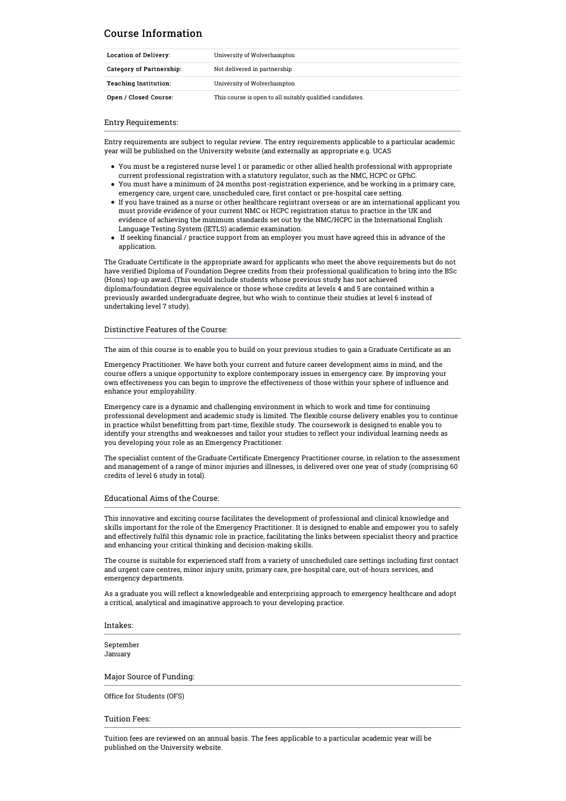# Course Information

| Location of Delivery:        | University of Wolverhampton                               |  |
|------------------------------|-----------------------------------------------------------|--|
| Category of Partnership:     | Not delivered in partnership                              |  |
| <b>Teaching Institution:</b> | University of Wolverhampton                               |  |
| Open / Closed Course:        | This course is open to all suitably qualified candidates. |  |

Entry Requirements:

Entry requirements are subject to regular review. The entry requirements applicable to a particular academic year will be published on the University website (and externally as appropriate e.g. UCAS

- You must be a registered nurse level 1 or paramedic or other allied health professional with appropriate current professional registration with <sup>a</sup> statutory regulator, such as the NMC, HCPC or GPhC. You must have <sup>a</sup> minimum of <sup>24</sup> months post-registration experience, and be working in <sup>a</sup> primary care,
- emergency care, urgent care, unscheduled care, first contact or pre-hospital care setting.
- If you have trained as <sup>a</sup> nurse or other healthcare registrant overseas or are an international applicant you must provide evidence of your current NMC or HCPC registration status to practice in the UK and evidence of achieving the minimum standards set out by the NMC/HCPC in the International English Language Testing System (IETLS) academic examination.
- $\bullet$  If seeking financial / practice support from an employer you must have agreed this in advance of the application.

The Graduate Certificate is the appropriate award for applicants who meet the above requirements but do not have verified Diploma of Foundation Degree credits from their professional qualification to bring into the BSc (Hons) top-up award. (This would include students whose previous study has not achieved diploma/foundation degree equivalence or those whose credits at levels 4 and 5 are contained within a previously awarded undergraduate degree, but who wish to continue their studies at level 6 instead of undertaking level 7 study).

### Distinctive Features of the Course:

The aim of this course is to enable you to build on your previous studies to gain a Graduate Certificate as an

Emergency Practitioner. We have both your current and future career development aims in mind, and the course offers a unique opportunity to explore contemporary issues in emergency care. By improving your own effectiveness you can begin to improve the effectiveness of those within your sphere of influence and enhance your employability.

Emergency care is a dynamic and challenging environment in which to work and time for continuing professional development and academic study is limited. The flexible course delivery enables you to continue in practice whilst benefitting from part-time, flexible study. The coursework is designed to enable you to identify your strengths and weaknesses and tailor your studies to reflect your individual learning needs as you developing your role as an Emergency Practitioner.

The specialist content of the Graduate Certificate Emergency Practitioner course, in relation to the assessment and management of a range of minor injuries and illnesses, is delivered over one year of study (comprising 60 credits of level 6 study in total).

### Educational Aims of the Course:

This innovative and exciting course facilitates the development of professional and clinical knowledge and skills important for the role of the Emergency Practitioner. It is designed to enable and empower you to safely and effectively fulfil this dynamic role in practice, facilitating the links between specialist theory and practice and enhancing your critical thinking and decision-making skills.

The course is suitable for experienced staff from a variety of unscheduled care settings including first contact and urgent care centres, minor injury units, primary care, pre-hospital care, out-of-hours services, and emergency departments.

As a graduate you will reflect a knowledgeable and enterprising approach to emergency healthcare and adopt a critical, analytical and imaginative approach to your developing practice.

Intakes:

September January

### Major Source of Funding:

Office for Students (OFS)

### Tuition Fees:

Tuition fees are reviewed on an annual basis. The fees applicable to a particular academic year will be published on the University website.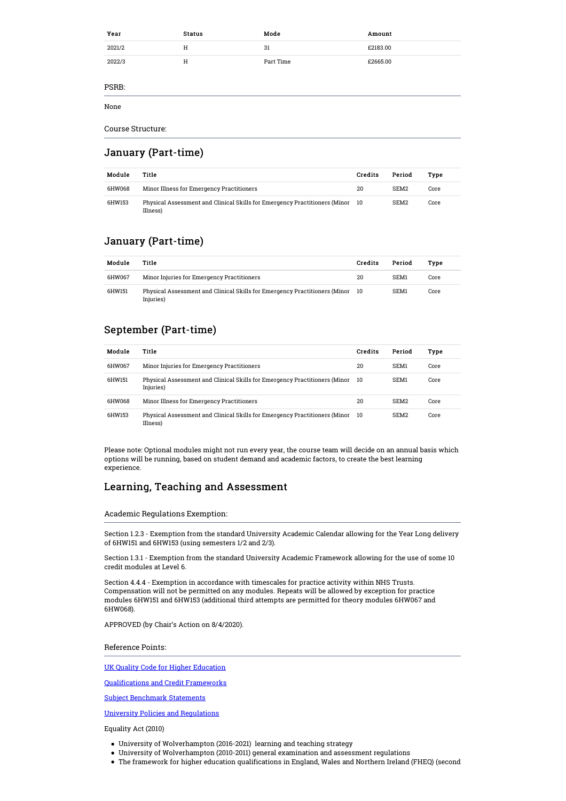| Year   | <b>Status</b> | Mode      | Amount   |
|--------|---------------|-----------|----------|
| 2021/2 | Η             | 31        | £2183.00 |
| 2022/3 | H             | Part Time | £2665.00 |
| PSRB:  |               |           |          |
| None   |               |           |          |

Course Structure:

# January (Part-time)

| Module | Title                                                                                     | Credits | Period           | Tvpe |
|--------|-------------------------------------------------------------------------------------------|---------|------------------|------|
| 6HW068 | Minor Illness for Emergency Practitioners                                                 | 20      | SEM <sub>2</sub> | Core |
| 6HW153 | Physical Assessment and Clinical Skills for Emergency Practitioners (Minor 10<br>Illness) |         | SEM <sub>2</sub> | Core |

# January (Part-time)

| Module | Title                                                                                      | Credits | Period | Type |
|--------|--------------------------------------------------------------------------------------------|---------|--------|------|
| 6HW067 | Minor Injuries for Emergency Practitioners                                                 | 20      | SEM1   | Core |
| 6HW151 | Physical Assessment and Clinical Skills for Emergency Practitioners (Minor 10<br>Injuries) |         | SEM1   | Core |

# September (Part-time)

| Module | Title                                                                                   | Credits | Period           | Type |
|--------|-----------------------------------------------------------------------------------------|---------|------------------|------|
| 6HW067 | Minor Injuries for Emergency Practitioners                                              | 20      | SEM1             | Core |
| 6HW151 | Physical Assessment and Clinical Skills for Emergency Practitioners (Minor<br>Injuries) | -10     | SEM1             | Core |
| 6HW068 | Minor Illness for Emergency Practitioners                                               | 20      | SEM <sub>2</sub> | Core |
| 6HW153 | Physical Assessment and Clinical Skills for Emergency Practitioners (Minor<br>Illness)  | -10     | SEM <sub>2</sub> | Core |

Please note: Optional modules might not run every year, the course team will decide on an annual basis which options will be running, based on student demand and academic factors, to create the best learning experience.

# Learning, Teaching and Assessment

Academic Regulations Exemption:

Section 1.2.3 - Exemption from the standard University Academic Calendar allowing for the Year Long delivery of 6HW151 and 6HW153 (using semesters 1/2 and 2/3).

Section 1.3.1 - Exemption from the standard University Academic Framework allowing for the use of some 10 credit modules at Level 6.

Section 4.4.4 - Exemption in accordance with timescales for practice activity within NHS Trusts. Compensation will not be permitted on any modules. Repeats will be allowed by exception for practice modules 6HW151 and 6HW153 (additional third attempts are permitted for theory modules 6HW067 and 6HW068).

APPROVED (by Chair's Action on 8/4/2020).

Reference Points:

UK Quality Code for Higher [Education](https://www.qaa.ac.uk/quality-code)

[Qualifications](https://www.qaa.ac.uk/en/quality-code/qualifications-and-credit-frameworks) and Credit Frameworks

Subject [Benchmark](https://www.qaa.ac.uk/en/quality-code/subject-benchmark-statements) Statements

University Policies and [Regulations](http://www.wlv.ac.uk/about-us/governance/legal-information/policies-and-regulations/academic-regulations/)

Equality Act (2010)

- University of Wolverhampton (2016-2021) learning and teaching strategy
- University of Wolverhampton (2010-2011) general examination and assessment regulations
- The framework for higher education qualifications in England, Wales and Northern Ireland (FHEQ) (second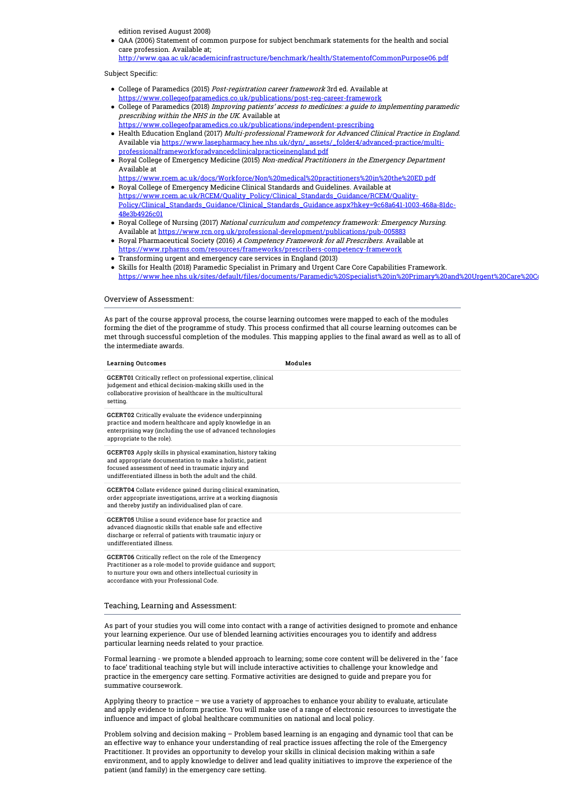edition revised August 2008)

QAA (2006) Statement of common purpose for subject benchmark statements for the health and social care profession. Available at; <http://www.qaa.ac.uk/academicinfrastructure/benchmark/health/StatementofCommonPurpose06.pdf>

#### Subject Specific:

- College of Paramedics (2015) Post-registration career framework 3rd ed. Available at <https://www.collegeofparamedics.co.uk/publications/post-reg-career-framework>
- College of Paramedics (2018) Improving patients' access to medicines: <sup>a</sup> guide to implementing paramedic prescribing within the NHS in the UK. Available at
- <https://www.collegeofparamedics.co.uk/publications/independent-prescribing> • Health Education England (2017) *Multi-professional Framework for Advanced Clinical Practice in England.*<br>Available via <u>https://www.lasepharmacy.hee.nhs.uk/dyn/\_assets/\_folder4/advanced-practice/multi-</u> professionalframeworkforadvancedclinicalpracticeinengland.pdf
- Royal College of Emergency Medicine (2015) Non-medical Practitioners in the Emergency Department Available at

[https://www.rcem.ac.uk/docs/Workforce/Non%20medical%20practitioners%20in%20the%20ED.pdf](https://www.rcem.ac.uk/docs/Workforce/Non medical practitioners in the ED.pdf) Royal College of Emergency Medicine Clinical Standards and Guidelines. Available at

- https://www.rcem.ac.uk/RCEM/Quality\_Policy/Clinical\_Standards\_Guidance/RCEM/Quality-[Policy/Clinical\\_Standards\\_Guidance/Clinical\\_Standards\\_Guidance.aspx?hkey=9c68a641-1003-468a-81dc-](https://www.rcem.ac.uk/RCEM/Quality_Policy/Clinical_Standards_Guidance/RCEM/Quality-Policy/Clinical_Standards_Guidance/Clinical_Standards_Guidance.aspx?hkey=9c68a641-1003-468a-81dc-48e3b4926c01)48e3b4926c01
- Royal College of Nursing (2017) National curriculum and competency framework: Emergency Nursing. Available at <https://www.rcn.org.uk/professional-development/publications/pub-005883>
- Royal Pharmaceutical Society (2016) A Competency Framework for all Prescribers. Available at <https://www.rpharms.com/resources/frameworks/prescribers-competency-framework>
- Transforming urgent and emergency care services in England (2013)
- Skills for Health (2018) Paramedic Specialist in Primary and Urgent Care Core Capabilities Framework. https://www.hee.nhs.uk/sites/default/files/documents/Paramedic%20Specialist%20in%20Primary%20and%20Urgent%20Care%20Core%20Core%20Core%20Core%20Core%20Core%20Core%20Core%20Core%20Core%20Core%20Core%20Framework.pdf

### Overview of Assessment:

As part of the course approval process, the course learning outcomes were mapped to each of the modules forming the diet of the programme of study. This process confirmed that all course learning outcomes can be met through successful completion of the modules. This mapping applies to the final award as well as to all of the intermediate awards.

| <b>Learning Outcomes</b>                                                                                                                                                                                                                     | <b>Modules</b> |
|----------------------------------------------------------------------------------------------------------------------------------------------------------------------------------------------------------------------------------------------|----------------|
| GCERT01 Critically reflect on professional expertise, clinical<br>judgement and ethical decision-making skills used in the<br>collaborative provision of healthcare in the multicultural<br>setting.                                         |                |
| <b>GCERT02</b> Critically evaluate the evidence underpinning<br>practice and modern healthcare and apply knowledge in an<br>enterprising way (including the use of advanced technologies<br>appropriate to the role).                        |                |
| GCERT03 Apply skills in physical examination, history taking<br>and appropriate documentation to make a holistic, patient<br>focused assessment of need in traumatic injury and<br>undifferentiated illness in both the adult and the child. |                |
| GCERT04 Collate evidence gained during clinical examination,<br>order appropriate investigations, arrive at a working diagnosis<br>and thereby justify an individualised plan of care.                                                       |                |
| GCERT05 Utilise a sound evidence base for practice and<br>advanced diagnostic skills that enable safe and effective<br>discharge or referral of patients with traumatic injury or<br>undifferentiated illness.                               |                |
| GCERT06 Critically reflect on the role of the Emergency<br>Practitioner as a role-model to provide guidance and support;<br>to nurture your own and others intellectual curiosity in<br>accordance with your Professional Code.              |                |

### Teaching, Learning and Assessment:

As part of your studies you will come into contact with a range of activities designed to promote and enhance your learning experience. Our use of blended learning activities encourages you to identify and address particular learning needs related to your practice.

Formal learning - we promote a blended approach to learning; some core content will be delivered in the ' face to face' traditional teaching style but will include interactive activities to challenge your knowledge and practice in the emergency care setting. Formative activities are designed to guide and prepare you for summative coursework.

Applying theory to practice – we use a variety of approaches to enhance your ability to evaluate, articulate and apply evidence to inform practice. You will make use of a range of electronic resources to investigate the influence and impact of global healthcare communities on national and local policy.

Problem solving and decision making – Problem based learning is an engaging and dynamic tool that can be an effective way to enhance your understanding of real practice issues affecting the role of the Emergency Practitioner. It provides an opportunity to develop your skills in clinical decision making within a safe environment, and to apply knowledge to deliver and lead quality initiatives to improve the experience of the patient (and family) in the emergency care setting.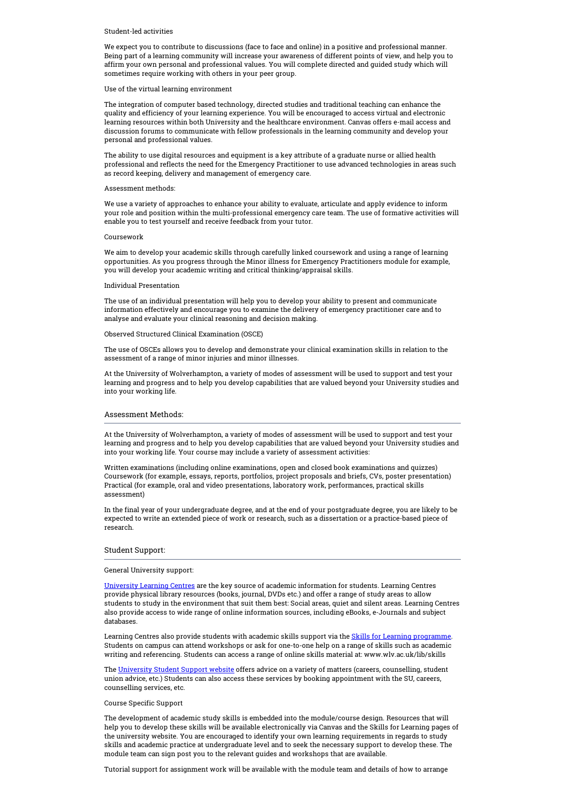#### Student-led activities

We expect you to contribute to discussions (face to face and online) in a positive and professional manner. Being part of a learning community will increase your awareness of different points of view, and help you to affirm your own personal and professional values. You will complete directed and guided study which will sometimes require working with others in your peer group.

#### Use of the virtual learning environment

The integration of computer based technology, directed studies and traditional teaching can enhance the quality and efficiency of your learning experience. You will be encouraged to access virtual and electronic learning resources within both University and the healthcare environment. Canvas offers e-mail access and discussion forums to communicate with fellow professionals in the learning community and develop your personal and professional values.

The ability to use digital resources and equipment is a key attribute of a graduate nurse or allied health professional and reflects the need for the Emergency Practitioner to use advanced technologies in areas such as record keeping, delivery and management of emergency care.

#### Assessment methods:

We use a variety of approaches to enhance your ability to evaluate, articulate and apply evidence to inform your role and position within the multi-professional emergency care team. The use of formative activities will enable you to test yourself and receive feedback from your tutor.

#### Coursework

We aim to develop your academic skills through carefully linked coursework and using a range of learning opportunities. As you progress through the Minor illness for Emergency Practitioners module for example, you will develop your academic writing and critical thinking/appraisal skills.

### Individual Presentation

The use of an individual presentation will help you to develop your ability to present and communicate information effectively and encourage you to examine the delivery of emergency practitioner care and to analyse and evaluate your clinical reasoning and decision making.

Observed Structured Clinical Examination (OSCE)

The use of OSCEs allows you to develop and demonstrate your clinical examination skills in relation to the assessment of a range of minor injuries and minor illnesses.

At the University of Wolverhampton, a variety of modes of assessment will be used to support and test your learning and progress and to help you develop capabilities that are valued beyond your University studies and into your working life.

### Assessment Methods:

At the University of Wolverhampton, a variety of modes of assessment will be used to support and test your learning and progress and to help you develop capabilities that are valued beyond your University studies and into your working life. Your course may include a variety of assessment activities:

Written examinations (including online examinations, open and closed book examinations and quizzes) Coursework (for example, essays, reports, portfolios, project proposals and briefs, CVs, poster presentation) Practical (for example, oral and video presentations, laboratory work, performances, practical skills assessment)

In the final year of your undergraduate degree, and at the end of your postgraduate degree, you are likely to be expected to write an extended piece of work or research, such as a dissertation or a practice-based piece of research.

### Student Support:

#### General University support:

[University](http://www.wlv.ac.uk/lib/info/welcome) Learning Centres are the key source of academic information for students. Learning Centres provide physical library resources (books, journal, DVDs etc.) and offer a range of study areas to allow students to study in the environment that suit them best: Social areas, quiet and silent areas. Learning Centres also provide access to wide range of online information sources, including eBooks, e-Journals and subject databases.

Learning Centres also provide students with academic skills support via the Skills for Learning [programme](http://www.wlv.ac.uk/lib/skills-for-learning/). Students on campus can attend workshops or ask for one-to-one help on <sup>a</sup> range of skills such as academic writing and referencing. Students can access <sup>a</sup> range of online skills material at: www.wlv.ac.uk/lib/skills

The [University](https://www.wlv.ac.uk/study-here/student-support) Student Support website offers advice on a variety of matters (careers, counselling, student union advice, etc.) Students can also access these services by booking appointment with the SU, careers, counselling services, etc.

### Course Specific Support

The development of academic study skills is embedded into the module/course design. Resources that will help you to develop these skills will be available electronically via Canvas and the Skills for Learning pages of the university website. You are encouraged to identify your own learning requirements in regards to study skills and academic practice at undergraduate level and to seek the necessary support to develop these. The module team can sign post you to the relevant guides and workshops that are available.

Tutorial support for assignment work will be available with the module team and details of how to arrange